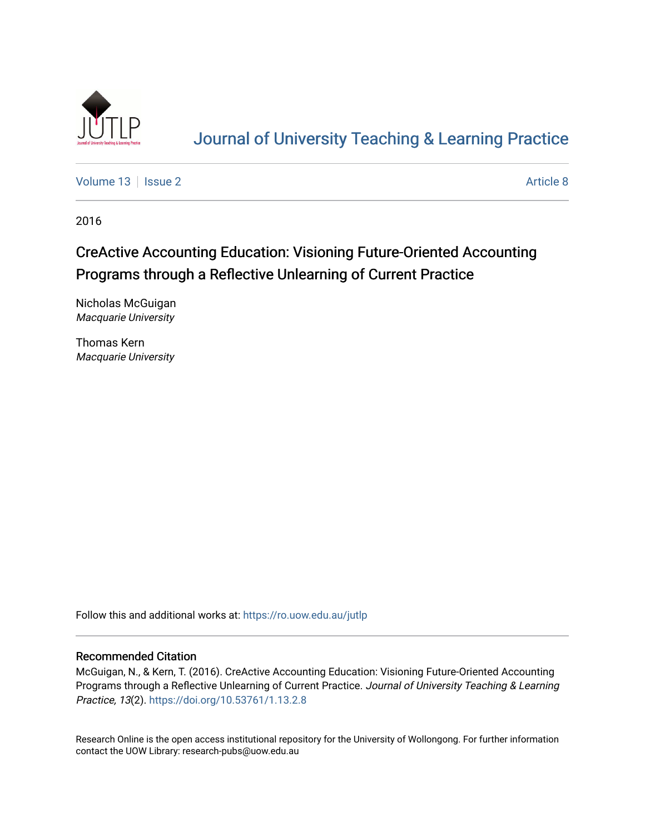

# [Journal of University Teaching & Learning Practice](https://ro.uow.edu.au/jutlp)

[Volume 13](https://ro.uow.edu.au/jutlp/vol13) | [Issue 2](https://ro.uow.edu.au/jutlp/vol13/iss2) Article 8

2016

# CreActive Accounting Education: Visioning Future-Oriented Accounting Programs through a Reflective Unlearning of Current Practice

Nicholas McGuigan Macquarie University

Thomas Kern Macquarie University

Follow this and additional works at: [https://ro.uow.edu.au/jutlp](https://ro.uow.edu.au/jutlp?utm_source=ro.uow.edu.au%2Fjutlp%2Fvol13%2Fiss2%2F8&utm_medium=PDF&utm_campaign=PDFCoverPages) 

#### Recommended Citation

McGuigan, N., & Kern, T. (2016). CreActive Accounting Education: Visioning Future-Oriented Accounting Programs through a Reflective Unlearning of Current Practice. Journal of University Teaching & Learning Practice, 13(2). <https://doi.org/10.53761/1.13.2.8>

Research Online is the open access institutional repository for the University of Wollongong. For further information contact the UOW Library: research-pubs@uow.edu.au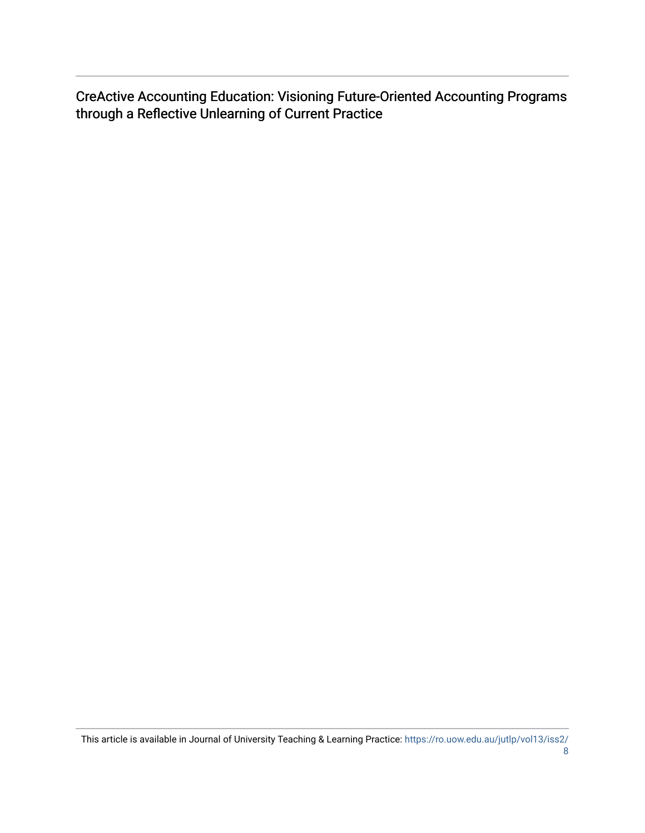CreActive Accounting Education: Visioning Future-Oriented Accounting Programs through a Reflective Unlearning of Current Practice

This article is available in Journal of University Teaching & Learning Practice: [https://ro.uow.edu.au/jutlp/vol13/iss2/](https://ro.uow.edu.au/jutlp/vol13/iss2/8) [8](https://ro.uow.edu.au/jutlp/vol13/iss2/8)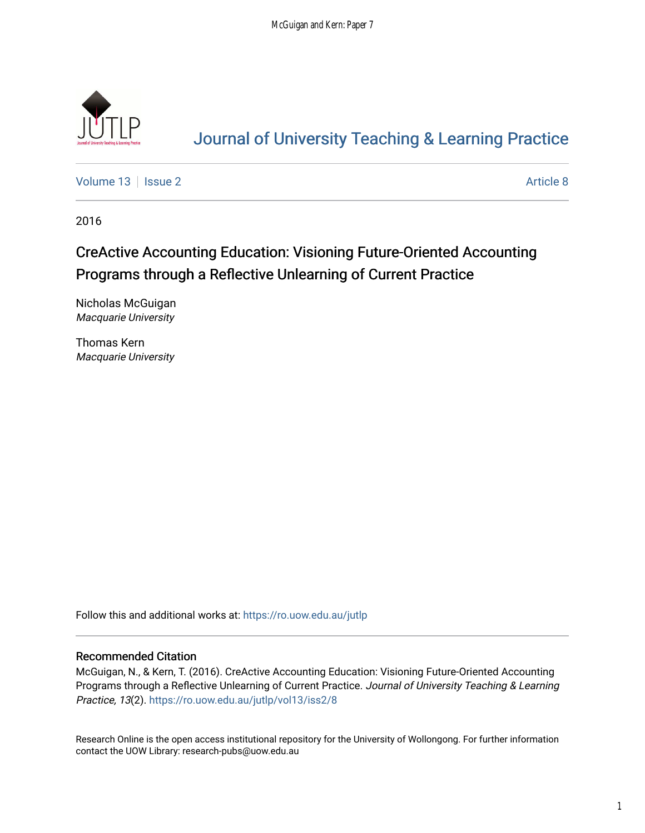

# [Journal of University Teaching & Learning Practice](https://ro.uow.edu.au/jutlp)

[Volume 13](https://ro.uow.edu.au/jutlp/vol13) | [Issue 2](https://ro.uow.edu.au/jutlp/vol13/iss2) Article 8

2016

## CreActive Accounting Education: Visioning Future-Oriented Accounting Programs through a Reflective Unlearning of Current Practice

Nicholas McGuigan Macquarie University

Thomas Kern Macquarie University

Follow this and additional works at: [https://ro.uow.edu.au/jutlp](https://ro.uow.edu.au/jutlp?utm_source=ro.uow.edu.au%2Fjutlp%2Fvol13%2Fiss2%2F8&utm_medium=PDF&utm_campaign=PDFCoverPages) 

#### Recommended Citation

McGuigan, N., & Kern, T. (2016). CreActive Accounting Education: Visioning Future-Oriented Accounting Programs through a Reflective Unlearning of Current Practice. Journal of University Teaching & Learning Practice, 13(2). [https://ro.uow.edu.au/jutlp/vol13/iss2/8](https://ro.uow.edu.au/jutlp/vol13/iss2/8?utm_source=ro.uow.edu.au%2Fjutlp%2Fvol13%2Fiss2%2F8&utm_medium=PDF&utm_campaign=PDFCoverPages)

Research Online is the open access institutional repository for the University of Wollongong. For further information contact the UOW Library: research-pubs@uow.edu.au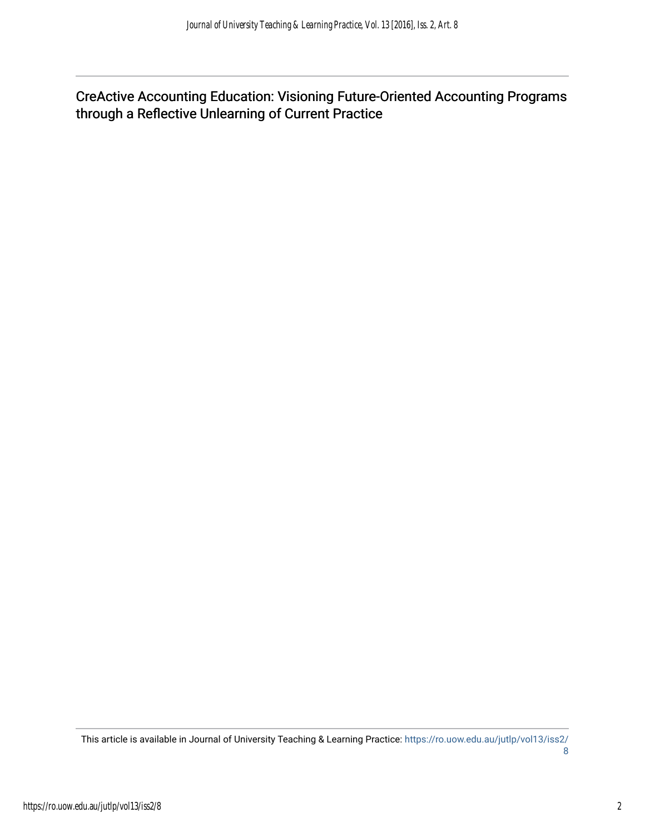CreActive Accounting Education: Visioning Future-Oriented Accounting Programs through a Reflective Unlearning of Current Practice

This article is available in Journal of University Teaching & Learning Practice: [https://ro.uow.edu.au/jutlp/vol13/iss2/](https://ro.uow.edu.au/jutlp/vol13/iss2/8) [8](https://ro.uow.edu.au/jutlp/vol13/iss2/8)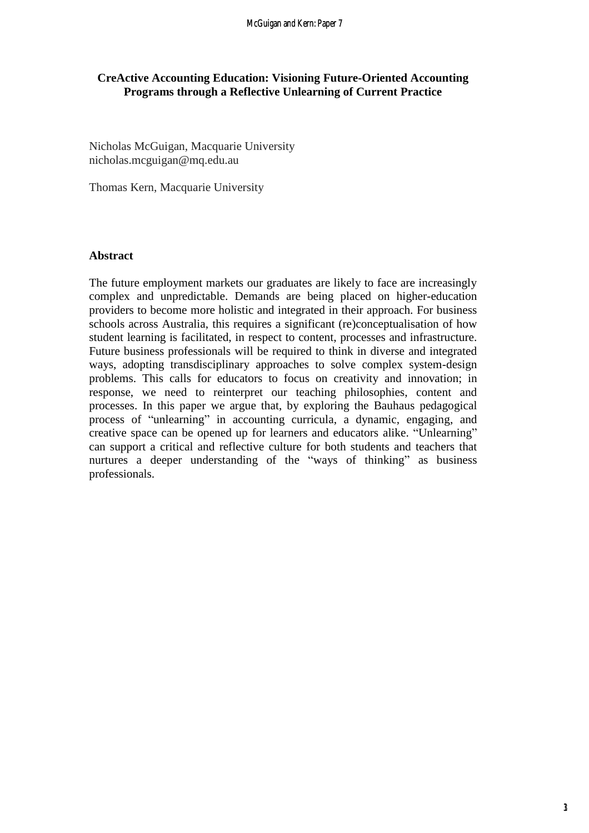### **CreActive Accounting Education: Visioning Future-Oriented Accounting Programs through a Reflective Unlearning of Current Practice**

Nicholas McGuigan, Macquarie University nicholas.mcguigan@mq.edu.au

Thomas Kern, Macquarie University

#### **Abstract**

The future employment markets our graduates are likely to face are increasingly complex and unpredictable. Demands are being placed on higher-education providers to become more holistic and integrated in their approach. For business schools across Australia, this requires a significant (re)conceptualisation of how student learning is facilitated, in respect to content, processes and infrastructure. Future business professionals will be required to think in diverse and integrated ways, adopting transdisciplinary approaches to solve complex system-design problems. This calls for educators to focus on creativity and innovation; in response, we need to reinterpret our teaching philosophies, content and processes. In this paper we argue that, by exploring the Bauhaus pedagogical process of "unlearning" in accounting curricula, a dynamic, engaging, and creative space can be opened up for learners and educators alike. "Unlearning" can support a critical and reflective culture for both students and teachers that nurtures a deeper understanding of the "ways of thinking" as business professionals.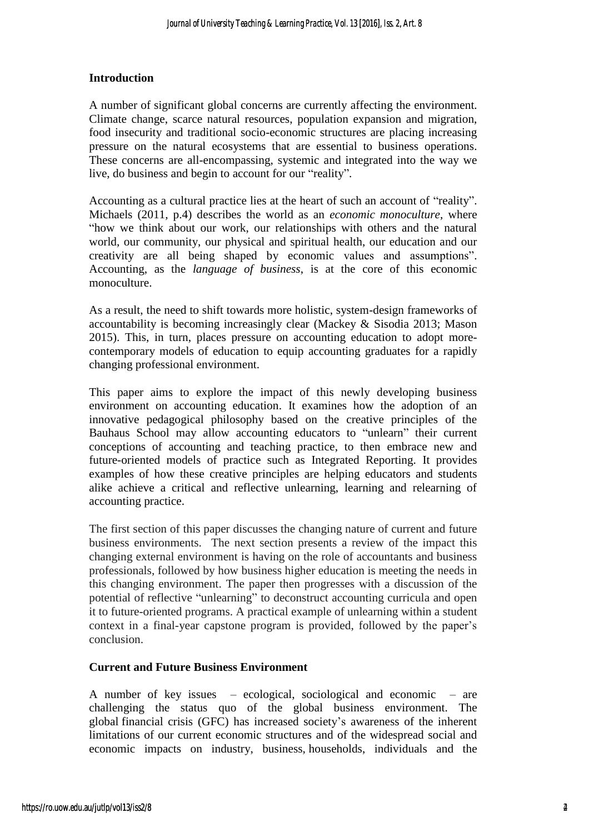### **Introduction**

A number of significant global concerns are currently affecting the environment. Climate change, scarce natural resources, population expansion and migration, food insecurity and traditional socio-economic structures are placing increasing pressure on the natural ecosystems that are essential to business operations. These concerns are all-encompassing, systemic and integrated into the way we live, do business and begin to account for our "reality".

Accounting as a cultural practice lies at the heart of such an account of "reality". Michaels (2011, p.4) describes the world as an *economic monoculture*, where "how we think about our work, our relationships with others and the natural world, our community, our physical and spiritual health, our education and our creativity are all being shaped by economic values and assumptions". Accounting, as the *language of business*, is at the core of this economic monoculture.

As a result, the need to shift towards more holistic, system-design frameworks of accountability is becoming increasingly clear (Mackey & Sisodia 2013; Mason 2015). This, in turn, places pressure on accounting education to adopt morecontemporary models of education to equip accounting graduates for a rapidly changing professional environment.

This paper aims to explore the impact of this newly developing business environment on accounting education. It examines how the adoption of an innovative pedagogical philosophy based on the creative principles of the Bauhaus School may allow accounting educators to "unlearn" their current conceptions of accounting and teaching practice, to then embrace new and future-oriented models of practice such as Integrated Reporting. It provides examples of how these creative principles are helping educators and students alike achieve a critical and reflective unlearning, learning and relearning of accounting practice.

The first section of this paper discusses the changing nature of current and future business environments. The next section presents a review of the impact this changing external environment is having on the role of accountants and business professionals, followed by how business higher education is meeting the needs in this changing environment. The paper then progresses with a discussion of the potential of reflective "unlearning" to deconstruct accounting curricula and open it to future-oriented programs. A practical example of unlearning within a student context in a final-year capstone program is provided, followed by the paper's conclusion.

#### **Current and Future Business Environment**

A number of key issues – ecological, sociological and economic – are challenging the status quo of the global business environment. The global financial crisis (GFC) has increased society's awareness of the inherent limitations of our current economic structures and of the widespread social and economic impacts on industry, business, households, individuals and the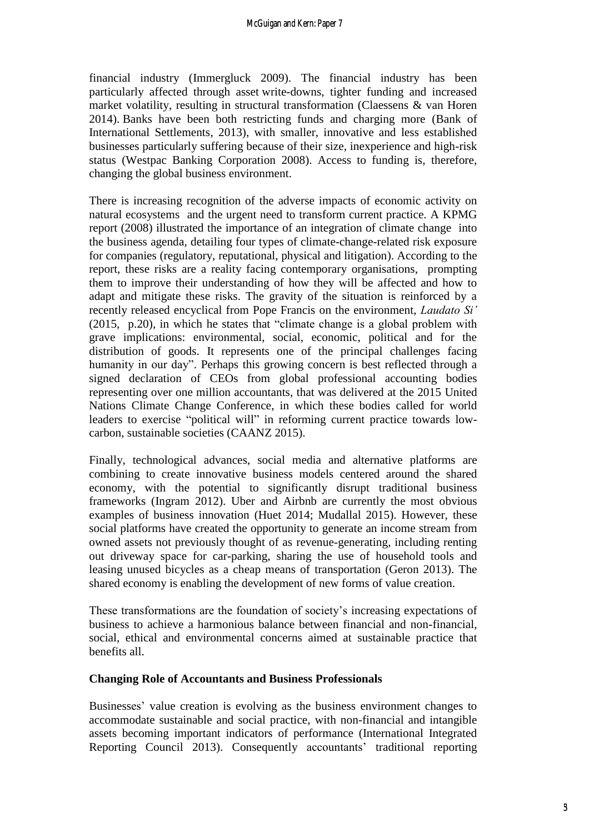financial industry (Immergluck 2009). The financial industry has been particularly affected through asset write-downs, tighter funding and increased market volatility, resulting in structural transformation (Claessens & van Horen 2014). Banks have been both restricting funds and charging more (Bank of International Settlements, 2013), with smaller, innovative and less established businesses particularly suffering because of their size, inexperience and high-risk status (Westpac Banking Corporation 2008). Access to funding is, therefore, changing the global business environment.

There is increasing recognition of the adverse impacts of economic activity on natural ecosystems and the urgent need to transform current practice. A KPMG report (2008) illustrated the importance of an integration of climate change into the business agenda, detailing four types of climate-change-related risk exposure for companies (regulatory, reputational, physical and litigation). According to the report, these risks are a reality facing contemporary organisations, prompting them to improve their understanding of how they will be affected and how to adapt and mitigate these risks. The gravity of the situation is reinforced by a recently released encyclical from Pope Francis on the environment, *Laudato Si'*  (2015, p.20), in which he states that "climate change is a global problem with grave implications: environmental, social, economic, political and for the distribution of goods. It represents one of the principal challenges facing humanity in our day". Perhaps this growing concern is best reflected through a signed declaration of CEOs from global professional accounting bodies representing over one million accountants, that was delivered at the 2015 United Nations Climate Change Conference, in which these bodies called for world leaders to exercise "political will" in reforming current practice towards lowcarbon, sustainable societies (CAANZ 2015).

Finally, technological advances, social media and alternative platforms are combining to create innovative business models centered around the shared economy, with the potential to significantly disrupt traditional business frameworks (Ingram 2012). Uber and Airbnb are currently the most obvious examples of business innovation (Huet 2014; Mudallal 2015). However, these social platforms have created the opportunity to generate an income stream from owned assets not previously thought of as revenue-generating, including renting out driveway space for car-parking, sharing the use of household tools and leasing unused bicycles as a cheap means of transportation (Geron 2013). The shared economy is enabling the development of new forms of value creation.

These transformations are the foundation of society's increasing expectations of business to achieve a harmonious balance between financial and non-financial, social, ethical and environmental concerns aimed at sustainable practice that benefits all.

#### **Changing Role of Accountants and Business Professionals**

Businesses' value creation is evolving as the business environment changes to accommodate sustainable and social practice, with non-financial and intangible assets becoming important indicators of performance (International Integrated Reporting Council 2013). Consequently accountants' traditional reporting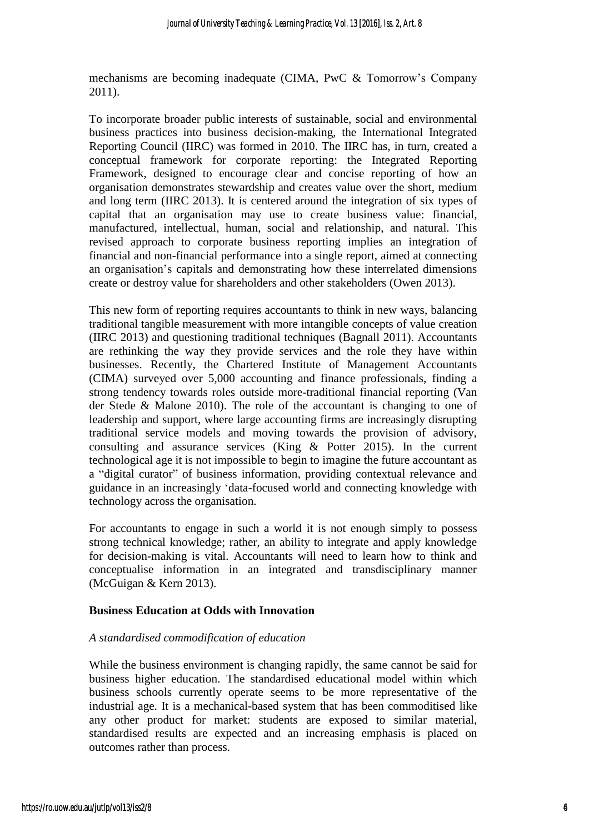mechanisms are becoming inadequate (CIMA, PwC & Tomorrow's Company 2011).

To incorporate broader public interests of sustainable, social and environmental business practices into business decision-making, the International Integrated Reporting Council (IIRC) was formed in 2010. The IIRC has, in turn, created a conceptual framework for corporate reporting: the Integrated Reporting Framework, designed to encourage clear and concise reporting of how an organisation demonstrates stewardship and creates value over the short, medium and long term (IIRC 2013). It is centered around the integration of six types of capital that an organisation may use to create business value: financial, manufactured, intellectual, human, social and relationship, and natural. This revised approach to corporate business reporting implies an integration of financial and non-financial performance into a single report, aimed at connecting an organisation's capitals and demonstrating how these interrelated dimensions create or destroy value for shareholders and other stakeholders (Owen 2013).

This new form of reporting requires accountants to think in new ways, balancing traditional tangible measurement with more intangible concepts of value creation (IIRC 2013) and questioning traditional techniques (Bagnall 2011). Accountants are rethinking the way they provide services and the role they have within businesses. Recently, the Chartered Institute of Management Accountants (CIMA) surveyed over 5,000 accounting and finance professionals, finding a strong tendency towards roles outside more-traditional financial reporting (Van der Stede & Malone 2010). The role of the accountant is changing to one of leadership and support, where large accounting firms are increasingly disrupting traditional service models and moving towards the provision of advisory, consulting and assurance services (King & Potter 2015). In the current technological age it is not impossible to begin to imagine the future accountant as a "digital curator" of business information, providing contextual relevance and guidance in an increasingly 'data-focused world and connecting knowledge with technology across the organisation.

For accountants to engage in such a world it is not enough simply to possess strong technical knowledge; rather, an ability to integrate and apply knowledge for decision-making is vital. Accountants will need to learn how to think and conceptualise information in an integrated and transdisciplinary manner (McGuigan & Kern 2013).

#### **Business Education at Odds with Innovation**

#### *A standardised commodification of education*

While the business environment is changing rapidly, the same cannot be said for business higher education. The standardised educational model within which business schools currently operate seems to be more representative of the industrial age. It is a mechanical-based system that has been commoditised like any other product for market: students are exposed to similar material, standardised results are expected and an increasing emphasis is placed on outcomes rather than process.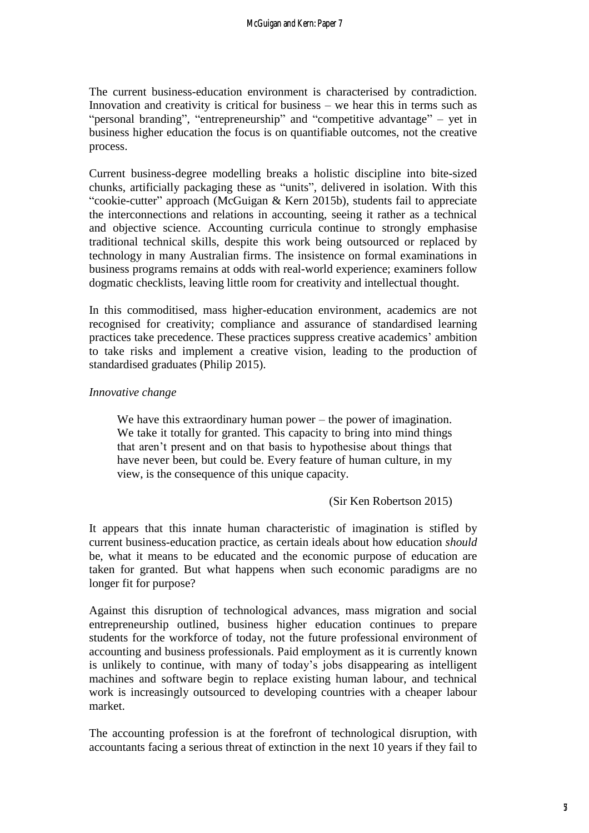The current business-education environment is characterised by contradiction. Innovation and creativity is critical for business – we hear this in terms such as "personal branding", "entrepreneurship" and "competitive advantage" – yet in business higher education the focus is on quantifiable outcomes, not the creative process.

Current business-degree modelling breaks a holistic discipline into bite-sized chunks, artificially packaging these as "units", delivered in isolation. With this "cookie-cutter" approach (McGuigan & Kern 2015b), students fail to appreciate the interconnections and relations in accounting, seeing it rather as a technical and objective science. Accounting curricula continue to strongly emphasise traditional technical skills, despite this work being outsourced or replaced by technology in many Australian firms. The insistence on formal examinations in business programs remains at odds with real-world experience; examiners follow dogmatic checklists, leaving little room for creativity and intellectual thought.

In this commoditised, mass higher-education environment, academics are not recognised for creativity; compliance and assurance of standardised learning practices take precedence. These practices suppress creative academics' ambition to take risks and implement a creative vision, leading to the production of standardised graduates (Philip 2015).

#### *Innovative change*

We have this extraordinary human power – the power of imagination. We take it totally for granted. This capacity to bring into mind things that aren't present and on that basis to hypothesise about things that have never been, but could be. Every feature of human culture, in my view, is the consequence of this unique capacity.

#### (Sir Ken Robertson 2015)

It appears that this innate human characteristic of imagination is stifled by current business-education practice, as certain ideals about how education *should* be, what it means to be educated and the economic purpose of education are taken for granted. But what happens when such economic paradigms are no longer fit for purpose?

Against this disruption of technological advances, mass migration and social entrepreneurship outlined, business higher education continues to prepare students for the workforce of today, not the future professional environment of accounting and business professionals. Paid employment as it is currently known is unlikely to continue, with many of today's jobs disappearing as intelligent machines and software begin to replace existing human labour, and technical work is increasingly outsourced to developing countries with a cheaper labour market.

The accounting profession is at the forefront of technological disruption, with accountants facing a serious threat of extinction in the next 10 years if they fail to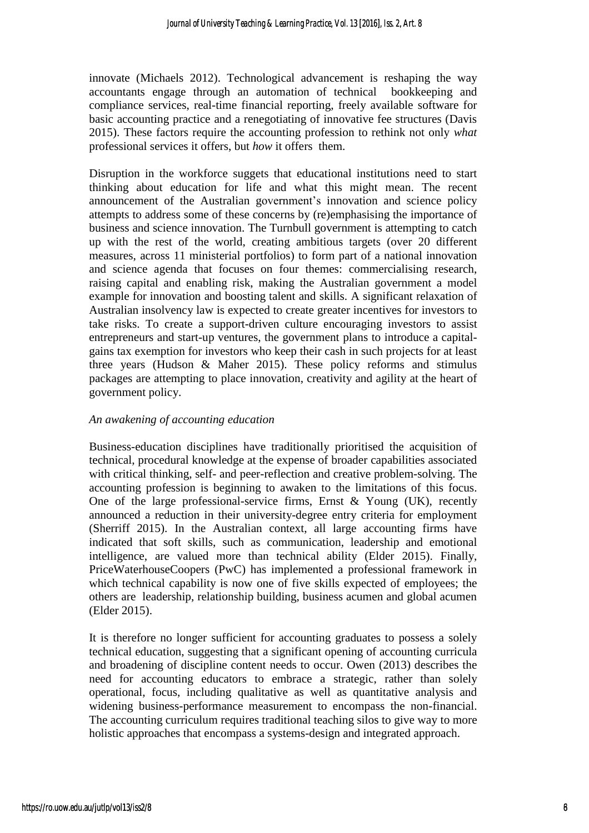innovate (Michaels 2012). Technological advancement is reshaping the way accountants engage through an automation of technical bookkeeping and compliance services, real-time financial reporting, freely available software for basic accounting practice and a renegotiating of innovative fee structures (Davis 2015). These factors require the accounting profession to rethink not only *what* professional services it offers, but *how* it offers them.

Disruption in the workforce suggets that educational institutions need to start thinking about education for life and what this might mean. The recent announcement of the Australian government's innovation and science policy attempts to address some of these concerns by (re)emphasising the importance of business and science innovation. The Turnbull government is attempting to catch up with the rest of the world, creating ambitious targets (over 20 different measures, across 11 ministerial portfolios) to form part of a national innovation and science agenda that focuses on four themes: commercialising research, raising capital and enabling risk, making the Australian government a model example for innovation and boosting talent and skills. A significant relaxation of Australian insolvency law is expected to create greater incentives for investors to take risks. To create a support-driven culture encouraging investors to assist entrepreneurs and start-up ventures, the government plans to introduce a capitalgains tax exemption for investors who keep their cash in such projects for at least three years (Hudson & Maher 2015). These policy reforms and stimulus packages are attempting to place innovation, creativity and agility at the heart of government policy.

#### *An awakening of accounting education*

Business-education disciplines have traditionally prioritised the acquisition of technical, procedural knowledge at the expense of broader capabilities associated with critical thinking, self- and peer-reflection and creative problem-solving. The accounting profession is beginning to awaken to the limitations of this focus. One of the large professional-service firms, Ernst & Young (UK), recently announced a reduction in their university-degree entry criteria for employment (Sherriff 2015). In the Australian context, all large accounting firms have indicated that soft skills, such as communication, leadership and emotional intelligence, are valued more than technical ability (Elder 2015). Finally, PriceWaterhouseCoopers (PwC) has implemented a professional framework in which technical capability is now one of five skills expected of employees; the others are leadership, relationship building, business acumen and global acumen (Elder 2015).

It is therefore no longer sufficient for accounting graduates to possess a solely technical education, suggesting that a significant opening of accounting curricula and broadening of discipline content needs to occur. Owen (2013) describes the need for accounting educators to embrace a strategic, rather than solely operational, focus, including qualitative as well as quantitative analysis and widening business-performance measurement to encompass the non-financial. The accounting curriculum requires traditional teaching silos to give way to more holistic approaches that encompass a systems-design and integrated approach.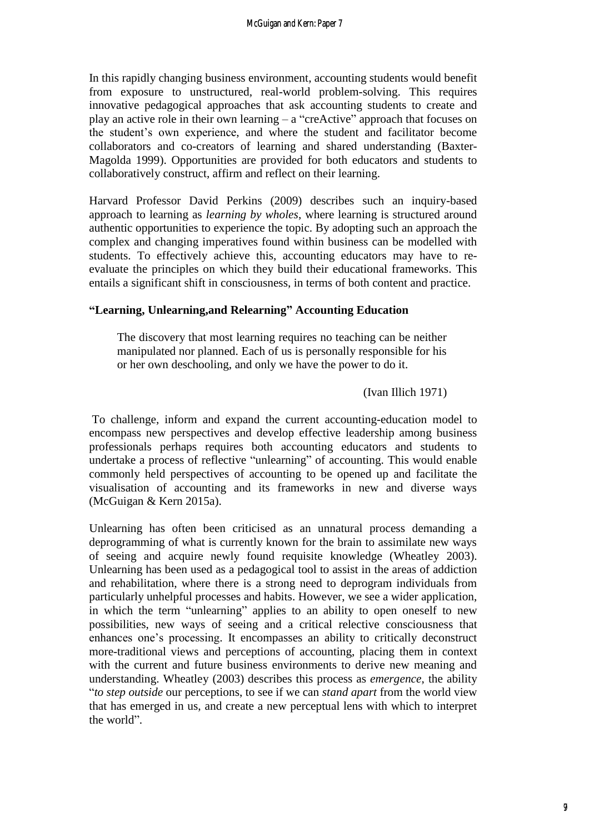In this rapidly changing business environment, accounting students would benefit from exposure to unstructured, real-world problem-solving. This requires innovative pedagogical approaches that ask accounting students to create and play an active role in their own learning – a "creActive" approach that focuses on the student's own experience, and where the student and facilitator become collaborators and co-creators of learning and shared understanding (Baxter-Magolda 1999). Opportunities are provided for both educators and students to collaboratively construct, affirm and reflect on their learning.

Harvard Professor David Perkins (2009) describes such an inquiry-based approach to learning as *learning by wholes*, where learning is structured around authentic opportunities to experience the topic. By adopting such an approach the complex and changing imperatives found within business can be modelled with students. To effectively achieve this, accounting educators may have to reevaluate the principles on which they build their educational frameworks. This entails a significant shift in consciousness, in terms of both content and practice.

#### **"Learning, Unlearning,and Relearning" Accounting Education**

The discovery that most learning requires no teaching can be neither manipulated nor planned. Each of us is personally responsible for his or her own deschooling, and only we have the power to do it.

(Ivan Illich 1971)

To challenge, inform and expand the current accounting-education model to encompass new perspectives and develop effective leadership among business professionals perhaps requires both accounting educators and students to undertake a process of reflective "unlearning" of accounting. This would enable commonly held perspectives of accounting to be opened up and facilitate the visualisation of accounting and its frameworks in new and diverse ways (McGuigan & Kern 2015a).

Unlearning has often been criticised as an unnatural process demanding a deprogramming of what is currently known for the brain to assimilate new ways of seeing and acquire newly found requisite knowledge (Wheatley 2003). Unlearning has been used as a pedagogical tool to assist in the areas of addiction and rehabilitation, where there is a strong need to deprogram individuals from particularly unhelpful processes and habits. However, we see a wider application, in which the term "unlearning" applies to an ability to open oneself to new possibilities, new ways of seeing and a critical relective consciousness that enhances one's processing. It encompasses an ability to critically deconstruct more-traditional views and perceptions of accounting, placing them in context with the current and future business environments to derive new meaning and understanding. Wheatley (2003) describes this process as *emergence*, the ability "*to step outside* our perceptions, to see if we can *stand apart* from the world view that has emerged in us, and create a new perceptual lens with which to interpret the world".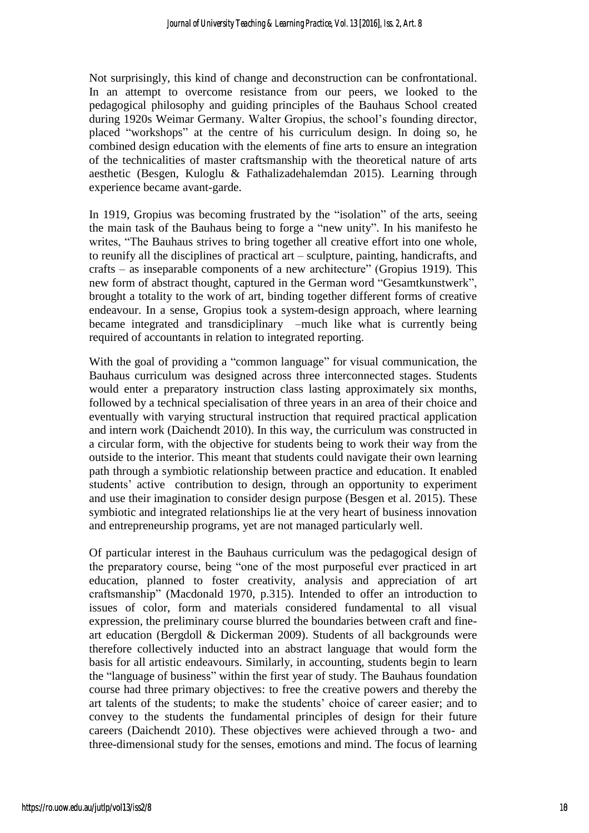Not surprisingly, this kind of change and deconstruction can be confrontational. In an attempt to overcome resistance from our peers, we looked to the pedagogical philosophy and guiding principles of the Bauhaus School created during 1920s Weimar Germany. Walter Gropius, the school's founding director, placed "workshops" at the centre of his curriculum design. In doing so, he combined design education with the elements of fine arts to ensure an integration of the technicalities of master craftsmanship with the theoretical nature of arts aesthetic (Besgen, Kuloglu & Fathalizadehalemdan 2015). Learning through experience became avant-garde.

In 1919, Gropius was becoming frustrated by the "isolation" of the arts, seeing the main task of the Bauhaus being to forge a "new unity". In his manifesto he writes, "The Bauhaus strives to bring together all creative effort into one whole, to reunify all the disciplines of practical art – sculpture, painting, handicrafts, and crafts – as inseparable components of a new architecture" (Gropius 1919). This new form of abstract thought, captured in the German word "Gesamtkunstwerk", brought a totality to the work of art, binding together different forms of creative endeavour. In a sense, Gropius took a system-design approach, where learning became integrated and transdiciplinary –much like what is currently being required of accountants in relation to integrated reporting.

With the goal of providing a "common language" for visual communication, the Bauhaus curriculum was designed across three interconnected stages. Students would enter a preparatory instruction class lasting approximately six months, followed by a technical specialisation of three years in an area of their choice and eventually with varying structural instruction that required practical application and intern work (Daichendt 2010). In this way, the curriculum was constructed in a circular form, with the objective for students being to work their way from the outside to the interior. This meant that students could navigate their own learning path through a symbiotic relationship between practice and education. It enabled students' active contribution to design, through an opportunity to experiment and use their imagination to consider design purpose (Besgen et al. 2015). These symbiotic and integrated relationships lie at the very heart of business innovation and entrepreneurship programs, yet are not managed particularly well.

Of particular interest in the Bauhaus curriculum was the pedagogical design of the preparatory course, being "one of the most purposeful ever practiced in art education, planned to foster creativity, analysis and appreciation of art craftsmanship" (Macdonald 1970, p.315). Intended to offer an introduction to issues of color, form and materials considered fundamental to all visual expression, the preliminary course blurred the boundaries between craft and fineart education (Bergdoll & Dickerman 2009). Students of all backgrounds were therefore collectively inducted into an abstract language that would form the basis for all artistic endeavours. Similarly, in accounting, students begin to learn the "language of business" within the first year of study. The Bauhaus foundation course had three primary objectives: to free the creative powers and thereby the art talents of the students; to make the students' choice of career easier; and to convey to the students the fundamental principles of design for their future careers (Daichendt 2010). These objectives were achieved through a two- and three-dimensional study for the senses, emotions and mind. The focus of learning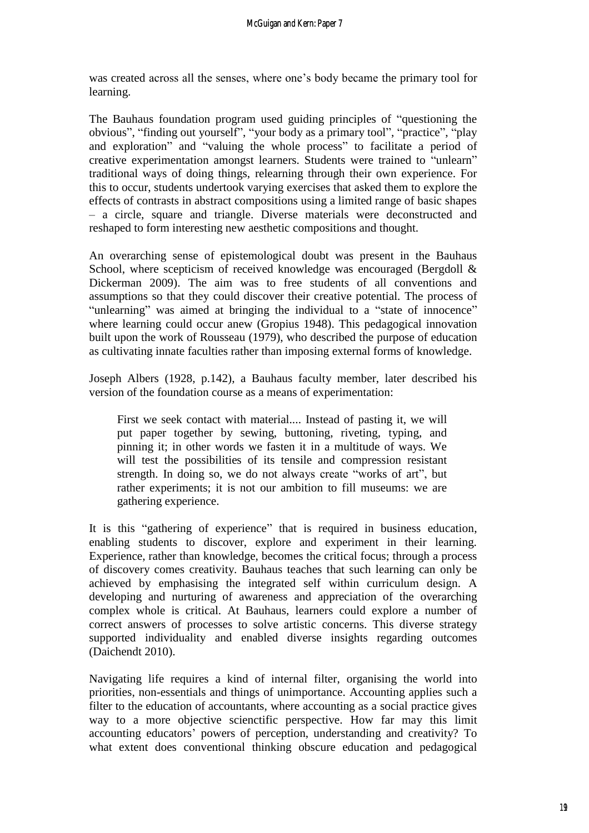was created across all the senses, where one's body became the primary tool for learning.

The Bauhaus foundation program used guiding principles of "questioning the obvious", "finding out yourself", "your body as a primary tool", "practice", "play and exploration" and "valuing the whole process" to facilitate a period of creative experimentation amongst learners. Students were trained to "unlearn" traditional ways of doing things, relearning through their own experience. For this to occur, students undertook varying exercises that asked them to explore the effects of contrasts in abstract compositions using a limited range of basic shapes – a circle, square and triangle. Diverse materials were deconstructed and reshaped to form interesting new aesthetic compositions and thought.

An overarching sense of epistemological doubt was present in the Bauhaus School, where scepticism of received knowledge was encouraged (Bergdoll & Dickerman 2009). The aim was to free students of all conventions and assumptions so that they could discover their creative potential. The process of "unlearning" was aimed at bringing the individual to a "state of innocence" where learning could occur anew (Gropius 1948). This pedagogical innovation built upon the work of Rousseau (1979), who described the purpose of education as cultivating innate faculties rather than imposing external forms of knowledge.

Joseph Albers (1928, p.142), a Bauhaus faculty member, later described his version of the foundation course as a means of experimentation:

First we seek contact with material.... Instead of pasting it, we will put paper together by sewing, buttoning, riveting, typing, and pinning it; in other words we fasten it in a multitude of ways. We will test the possibilities of its tensile and compression resistant strength. In doing so, we do not always create "works of art", but rather experiments; it is not our ambition to fill museums: we are gathering experience.

It is this "gathering of experience" that is required in business education, enabling students to discover, explore and experiment in their learning. Experience, rather than knowledge, becomes the critical focus; through a process of discovery comes creativity. Bauhaus teaches that such learning can only be achieved by emphasising the integrated self within curriculum design. A developing and nurturing of awareness and appreciation of the overarching complex whole is critical. At Bauhaus, learners could explore a number of correct answers of processes to solve artistic concerns. This diverse strategy supported individuality and enabled diverse insights regarding outcomes (Daichendt 2010).

Navigating life requires a kind of internal filter, organising the world into priorities, non-essentials and things of unimportance. Accounting applies such a filter to the education of accountants, where accounting as a social practice gives way to a more objective scienctific perspective. How far may this limit accounting educators' powers of perception, understanding and creativity? To what extent does conventional thinking obscure education and pedagogical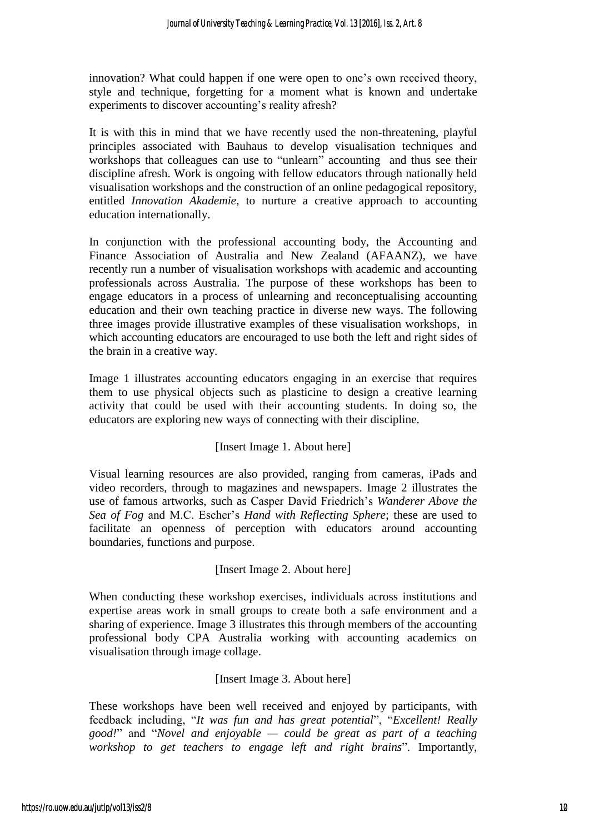innovation? What could happen if one were open to one's own received theory, style and technique, forgetting for a moment what is known and undertake experiments to discover accounting's reality afresh?

It is with this in mind that we have recently used the non-threatening, playful principles associated with Bauhaus to develop visualisation techniques and workshops that colleagues can use to "unlearn" accounting and thus see their discipline afresh. Work is ongoing with fellow educators through nationally held visualisation workshops and the construction of an online pedagogical repository, entitled *Innovation Akademie*, to nurture a creative approach to accounting education internationally.

In conjunction with the professional accounting body, the Accounting and Finance Association of Australia and New Zealand (AFAANZ), we have recently run a number of visualisation workshops with academic and accounting professionals across Australia. The purpose of these workshops has been to engage educators in a process of unlearning and reconceptualising accounting education and their own teaching practice in diverse new ways. The following three images provide illustrative examples of these visualisation workshops, in which accounting educators are encouraged to use both the left and right sides of the brain in a creative way.

Image 1 illustrates accounting educators engaging in an exercise that requires them to use physical objects such as plasticine to design a creative learning activity that could be used with their accounting students. In doing so, the educators are exploring new ways of connecting with their discipline.

## [Insert Image 1. About here]

Visual learning resources are also provided, ranging from cameras, iPads and video recorders, through to magazines and newspapers. Image 2 illustrates the use of famous artworks, such as Casper David Friedrich's *Wanderer Above the Sea of Fog* and M.C. Escher's *Hand with Reflecting Sphere*; these are used to facilitate an openness of perception with educators around accounting boundaries, functions and purpose.

#### [Insert Image 2. About here]

When conducting these workshop exercises, individuals across institutions and expertise areas work in small groups to create both a safe environment and a sharing of experience. Image 3 illustrates this through members of the accounting professional body CPA Australia working with accounting academics on visualisation through image collage.

#### [Insert Image 3. About here]

These workshops have been well received and enjoyed by participants, with feedback including, "*It was fun and has great potential*", "*Excellent! Really good!*" and "*Novel and enjoyable — could be great as part of a teaching workshop to get teachers to engage left and right brains*". Importantly,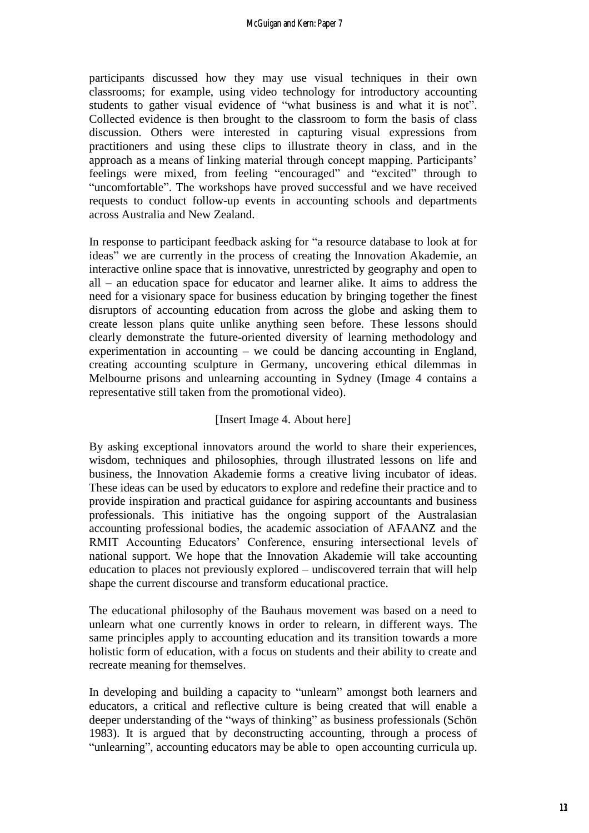participants discussed how they may use visual techniques in their own classrooms; for example, using video technology for introductory accounting students to gather visual evidence of "what business is and what it is not". Collected evidence is then brought to the classroom to form the basis of class discussion. Others were interested in capturing visual expressions from practitioners and using these clips to illustrate theory in class, and in the approach as a means of linking material through concept mapping. Participants' feelings were mixed, from feeling "encouraged" and "excited" through to "uncomfortable". The workshops have proved successful and we have received requests to conduct follow-up events in accounting schools and departments across Australia and New Zealand.

In response to participant feedback asking for "a resource database to look at for ideas" we are currently in the process of creating the Innovation Akademie, an interactive online space that is innovative, unrestricted by geography and open to all – an education space for educator and learner alike. It aims to address the need for a visionary space for business education by bringing together the finest disruptors of accounting education from across the globe and asking them to create lesson plans quite unlike anything seen before. These lessons should clearly demonstrate the future-oriented diversity of learning methodology and experimentation in accounting – we could be dancing accounting in England, creating accounting sculpture in Germany, uncovering ethical dilemmas in Melbourne prisons and unlearning accounting in Sydney (Image 4 contains a representative still taken from the promotional video).

#### [Insert Image 4. About here]

By asking exceptional innovators around the world to share their experiences, wisdom, techniques and philosophies, through illustrated lessons on life and business, the Innovation Akademie forms a creative living incubator of ideas. These ideas can be used by educators to explore and redefine their practice and to provide inspiration and practical guidance for aspiring accountants and business professionals. This initiative has the ongoing support of the Australasian accounting professional bodies, the academic association of AFAANZ and the RMIT Accounting Educators' Conference, ensuring intersectional levels of national support. We hope that the Innovation Akademie will take accounting education to places not previously explored – undiscovered terrain that will help shape the current discourse and transform educational practice.

The educational philosophy of the Bauhaus movement was based on a need to unlearn what one currently knows in order to relearn, in different ways. The same principles apply to accounting education and its transition towards a more holistic form of education, with a focus on students and their ability to create and recreate meaning for themselves.

In developing and building a capacity to "unlearn" amongst both learners and educators, a critical and reflective culture is being created that will enable a deeper understanding of the "ways of thinking" as business professionals (Schön 1983). It is argued that by deconstructing accounting, through a process of "unlearning", accounting educators may be able to open accounting curricula up.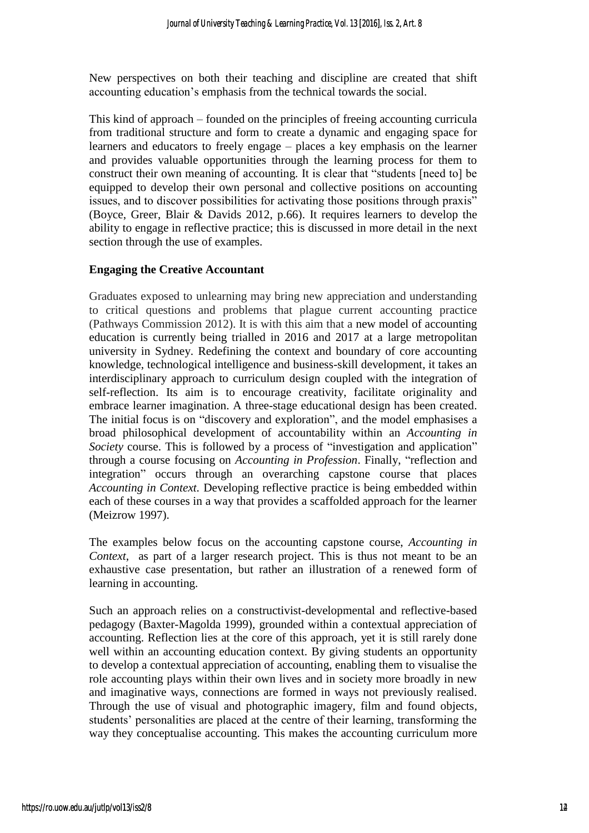New perspectives on both their teaching and discipline are created that shift accounting education's emphasis from the technical towards the social.

This kind of approach – founded on the principles of freeing accounting curricula from traditional structure and form to create a dynamic and engaging space for learners and educators to freely engage – places a key emphasis on the learner and provides valuable opportunities through the learning process for them to construct their own meaning of accounting. It is clear that "students [need to] be equipped to develop their own personal and collective positions on accounting issues, and to discover possibilities for activating those positions through praxis" (Boyce, Greer, Blair & Davids 2012, p.66). It requires learners to develop the ability to engage in reflective practice; this is discussed in more detail in the next section through the use of examples.

#### **Engaging the Creative Accountant**

Graduates exposed to unlearning may bring new appreciation and understanding to critical questions and problems that plague current accounting practice (Pathways Commission 2012). It is with this aim that a new model of accounting education is currently being trialled in 2016 and 2017 at a large metropolitan university in Sydney. Redefining the context and boundary of core accounting knowledge, technological intelligence and business-skill development, it takes an interdisciplinary approach to curriculum design coupled with the integration of self-reflection. Its aim is to encourage creativity, facilitate originality and embrace learner imagination. A three-stage educational design has been created. The initial focus is on "discovery and exploration", and the model emphasises a broad philosophical development of accountability within an *Accounting in Society* course. This is followed by a process of "investigation and application" through a course focusing on *Accounting in Profession*. Finally, "reflection and integration" occurs through an overarching capstone course that places *Accounting in Context.* Developing reflective practice is being embedded within each of these courses in a way that provides a scaffolded approach for the learner (Meizrow 1997).

The examples below focus on the accounting capstone course, *Accounting in Context*, as part of a larger research project. This is thus not meant to be an exhaustive case presentation, but rather an illustration of a renewed form of learning in accounting.

Such an approach relies on a constructivist-developmental and reflective-based pedagogy (Baxter-Magolda 1999), grounded within a contextual appreciation of accounting. Reflection lies at the core of this approach, yet it is still rarely done well within an accounting education context. By giving students an opportunity to develop a contextual appreciation of accounting, enabling them to visualise the role accounting plays within their own lives and in society more broadly in new and imaginative ways, connections are formed in ways not previously realised. Through the use of visual and photographic imagery, film and found objects, students' personalities are placed at the centre of their learning, transforming the way they conceptualise accounting. This makes the accounting curriculum more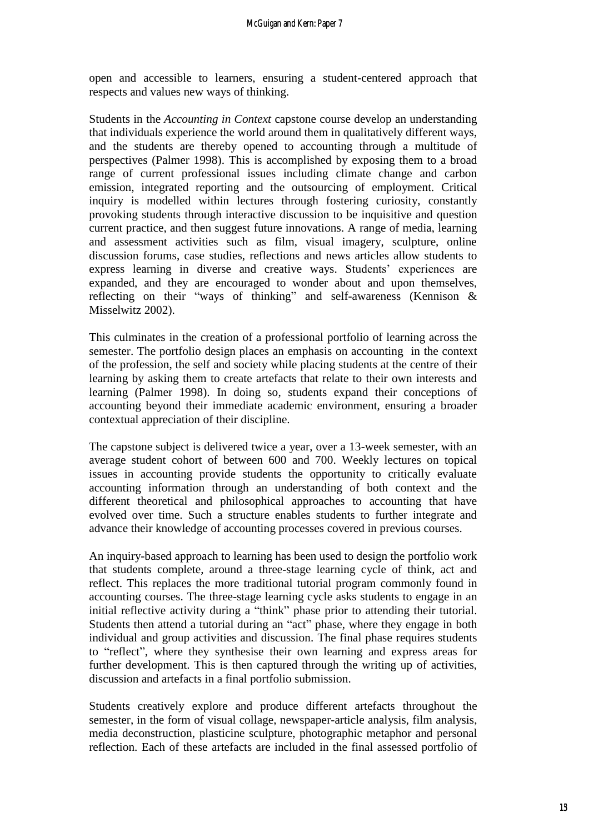open and accessible to learners, ensuring a student-centered approach that respects and values new ways of thinking.

Students in the *Accounting in Context* capstone course develop an understanding that individuals experience the world around them in qualitatively different ways, and the students are thereby opened to accounting through a multitude of perspectives (Palmer 1998). This is accomplished by exposing them to a broad range of current professional issues including climate change and carbon emission, integrated reporting and the outsourcing of employment. Critical inquiry is modelled within lectures through fostering curiosity, constantly provoking students through interactive discussion to be inquisitive and question current practice, and then suggest future innovations. A range of media, learning and assessment activities such as film, visual imagery, sculpture, online discussion forums, case studies, reflections and news articles allow students to express learning in diverse and creative ways. Students' experiences are expanded, and they are encouraged to wonder about and upon themselves, reflecting on their "ways of thinking" and self-awareness (Kennison & Misselwitz 2002).

This culminates in the creation of a professional portfolio of learning across the semester. The portfolio design places an emphasis on accounting in the context of the profession, the self and society while placing students at the centre of their learning by asking them to create artefacts that relate to their own interests and learning (Palmer 1998). In doing so, students expand their conceptions of accounting beyond their immediate academic environment, ensuring a broader contextual appreciation of their discipline.

The capstone subject is delivered twice a year, over a 13-week semester, with an average student cohort of between 600 and 700. Weekly lectures on topical issues in accounting provide students the opportunity to critically evaluate accounting information through an understanding of both context and the different theoretical and philosophical approaches to accounting that have evolved over time. Such a structure enables students to further integrate and advance their knowledge of accounting processes covered in previous courses.

An inquiry-based approach to learning has been used to design the portfolio work that students complete, around a three-stage learning cycle of think, act and reflect. This replaces the more traditional tutorial program commonly found in accounting courses. The three-stage learning cycle asks students to engage in an initial reflective activity during a "think" phase prior to attending their tutorial. Students then attend a tutorial during an "act" phase, where they engage in both individual and group activities and discussion. The final phase requires students to "reflect", where they synthesise their own learning and express areas for further development. This is then captured through the writing up of activities, discussion and artefacts in a final portfolio submission.

Students creatively explore and produce different artefacts throughout the semester, in the form of visual collage, newspaper-article analysis, film analysis, media deconstruction, plasticine sculpture, photographic metaphor and personal reflection. Each of these artefacts are included in the final assessed portfolio of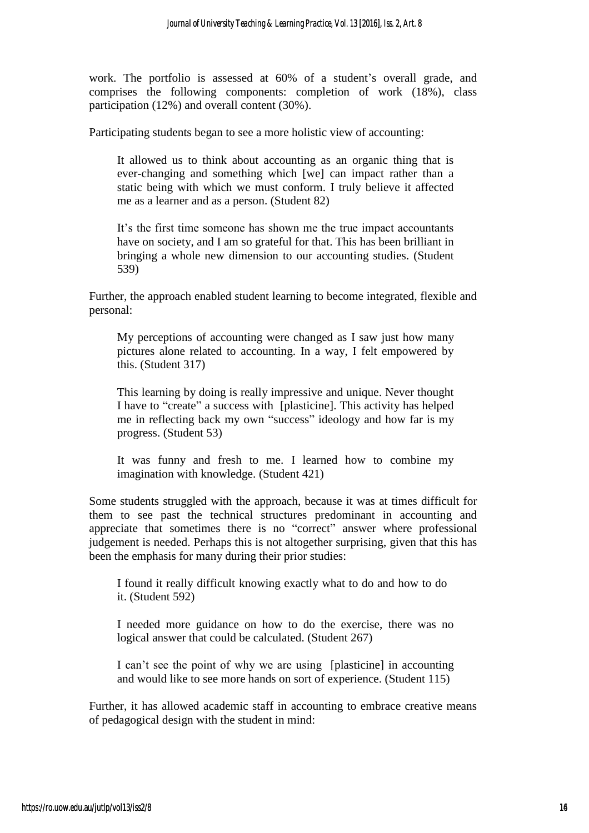work. The portfolio is assessed at 60% of a student's overall grade, and comprises the following components: completion of work (18%), class participation (12%) and overall content (30%).

Participating students began to see a more holistic view of accounting:

It allowed us to think about accounting as an organic thing that is ever-changing and something which [we] can impact rather than a static being with which we must conform. I truly believe it affected me as a learner and as a person. (Student 82)

It's the first time someone has shown me the true impact accountants have on society, and I am so grateful for that. This has been brilliant in bringing a whole new dimension to our accounting studies. (Student 539)

Further, the approach enabled student learning to become integrated, flexible and personal:

My perceptions of accounting were changed as I saw just how many pictures alone related to accounting. In a way, I felt empowered by this. (Student 317)

This learning by doing is really impressive and unique. Never thought I have to "create" a success with [plasticine]. This activity has helped me in reflecting back my own "success" ideology and how far is my progress. (Student 53)

It was funny and fresh to me. I learned how to combine my imagination with knowledge. (Student 421)

Some students struggled with the approach, because it was at times difficult for them to see past the technical structures predominant in accounting and appreciate that sometimes there is no "correct" answer where professional judgement is needed. Perhaps this is not altogether surprising, given that this has been the emphasis for many during their prior studies:

I found it really difficult knowing exactly what to do and how to do it. (Student 592)

I needed more guidance on how to do the exercise, there was no logical answer that could be calculated. (Student 267)

I can't see the point of why we are using [plasticine] in accounting and would like to see more hands on sort of experience. (Student 115)

Further, it has allowed academic staff in accounting to embrace creative means of pedagogical design with the student in mind: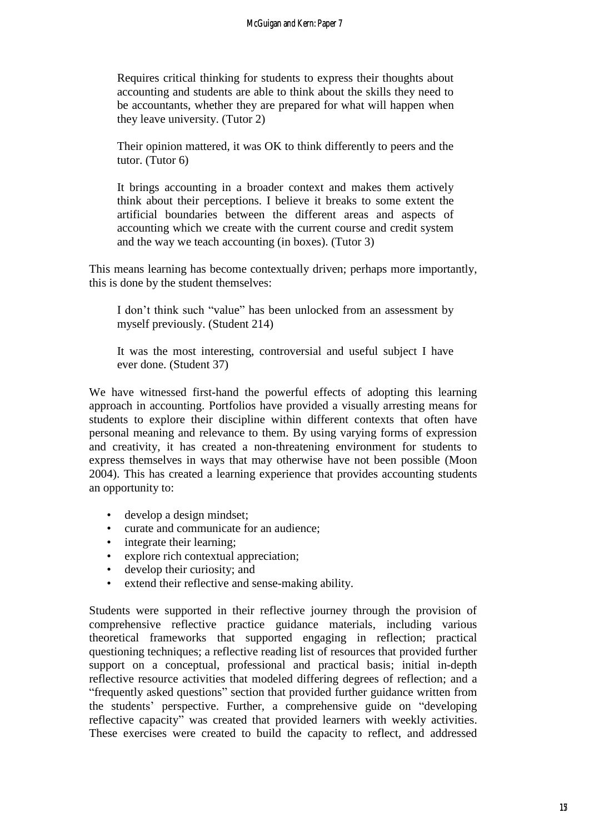Requires critical thinking for students to express their thoughts about accounting and students are able to think about the skills they need to be accountants, whether they are prepared for what will happen when they leave university. (Tutor 2)

Their opinion mattered, it was OK to think differently to peers and the tutor. (Tutor 6)

It brings accounting in a broader context and makes them actively think about their perceptions. I believe it breaks to some extent the artificial boundaries between the different areas and aspects of accounting which we create with the current course and credit system and the way we teach accounting (in boxes). (Tutor 3)

This means learning has become contextually driven; perhaps more importantly, this is done by the student themselves:

I don't think such "value" has been unlocked from an assessment by myself previously. (Student 214)

It was the most interesting, controversial and useful subject I have ever done. (Student 37)

We have witnessed first-hand the powerful effects of adopting this learning approach in accounting. Portfolios have provided a visually arresting means for students to explore their discipline within different contexts that often have personal meaning and relevance to them. By using varying forms of expression and creativity, it has created a non-threatening environment for students to express themselves in ways that may otherwise have not been possible (Moon 2004). This has created a learning experience that provides accounting students an opportunity to:

- develop a design mindset;
- curate and communicate for an audience;
- integrate their learning;
- explore rich contextual appreciation;
- develop their curiosity; and
- extend their reflective and sense-making ability.

Students were supported in their reflective journey through the provision of comprehensive reflective practice guidance materials, including various theoretical frameworks that supported engaging in reflection; practical questioning techniques; a reflective reading list of resources that provided further support on a conceptual, professional and practical basis; initial in-depth reflective resource activities that modeled differing degrees of reflection; and a "frequently asked questions" section that provided further guidance written from the students' perspective. Further, a comprehensive guide on "developing reflective capacity" was created that provided learners with weekly activities. These exercises were created to build the capacity to reflect, and addressed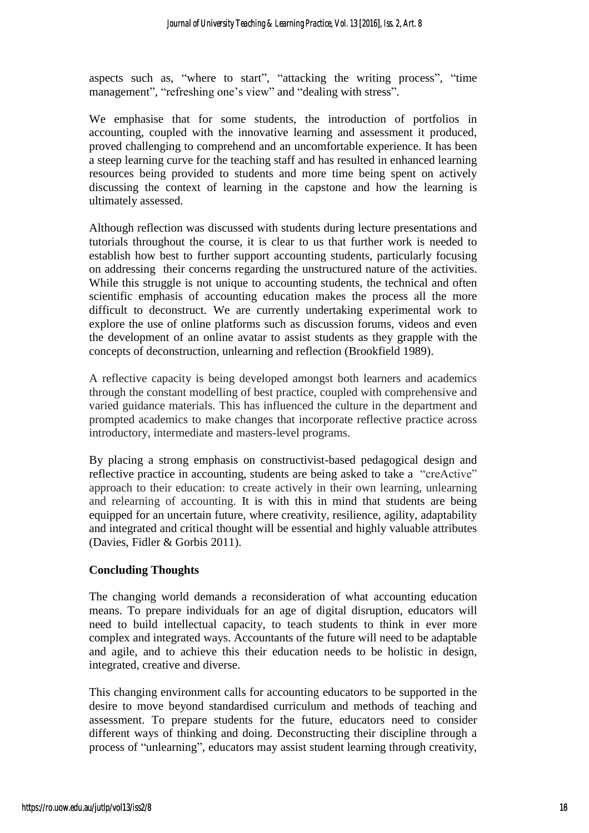aspects such as, "where to start", "attacking the writing process", "time management", "refreshing one's view" and "dealing with stress".

We emphasise that for some students, the introduction of portfolios in accounting, coupled with the innovative learning and assessment it produced, proved challenging to comprehend and an uncomfortable experience. It has been a steep learning curve for the teaching staff and has resulted in enhanced learning resources being provided to students and more time being spent on actively discussing the context of learning in the capstone and how the learning is ultimately assessed.

Although reflection was discussed with students during lecture presentations and tutorials throughout the course, it is clear to us that further work is needed to establish how best to further support accounting students, particularly focusing on addressing their concerns regarding the unstructured nature of the activities. While this struggle is not unique to accounting students, the technical and often scientific emphasis of accounting education makes the process all the more difficult to deconstruct. We are currently undertaking experimental work to explore the use of online platforms such as discussion forums, videos and even the development of an online avatar to assist students as they grapple with the concepts of deconstruction, unlearning and reflection (Brookfield 1989).

A reflective capacity is being developed amongst both learners and academics through the constant modelling of best practice, coupled with comprehensive and varied guidance materials. This has influenced the culture in the department and prompted academics to make changes that incorporate reflective practice across introductory, intermediate and masters-level programs.

By placing a strong emphasis on constructivist-based pedagogical design and reflective practice in accounting, students are being asked to take a "creActive" approach to their education: to create actively in their own learning, unlearning and relearning of accounting. It is with this in mind that students are being equipped for an uncertain future, where creativity, resilience, agility, adaptability and integrated and critical thought will be essential and highly valuable attributes (Davies, Fidler & Gorbis 2011).

#### **Concluding Thoughts**

The changing world demands a reconsideration of what accounting education means. To prepare individuals for an age of digital disruption, educators will need to build intellectual capacity, to teach students to think in ever more complex and integrated ways. Accountants of the future will need to be adaptable and agile, and to achieve this their education needs to be holistic in design, integrated, creative and diverse.

This changing environment calls for accounting educators to be supported in the desire to move beyond standardised curriculum and methods of teaching and assessment. To prepare students for the future, educators need to consider different ways of thinking and doing. Deconstructing their discipline through a process of "unlearning", educators may assist student learning through creativity,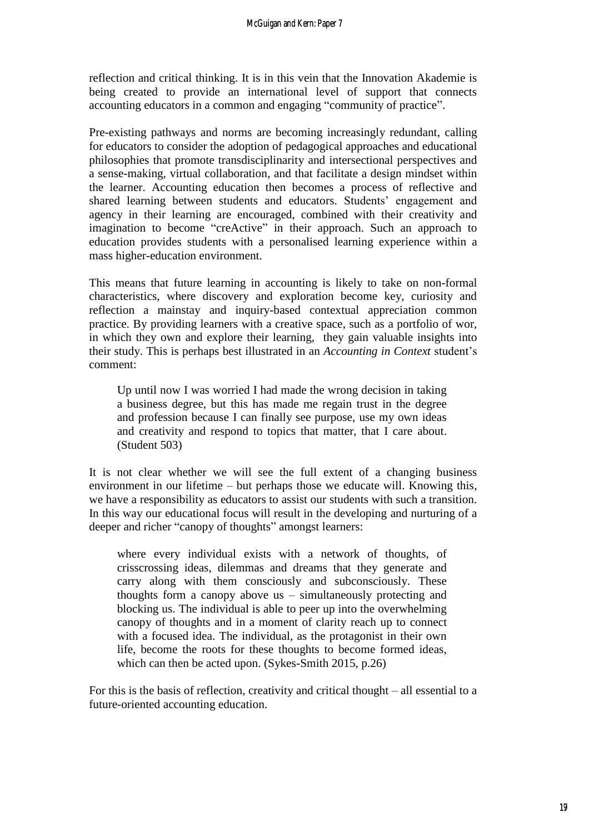reflection and critical thinking. It is in this vein that the Innovation Akademie is being created to provide an international level of support that connects accounting educators in a common and engaging "community of practice".

Pre-existing pathways and norms are becoming increasingly redundant, calling for educators to consider the adoption of pedagogical approaches and educational philosophies that promote transdisciplinarity and intersectional perspectives and a sense-making, virtual collaboration, and that facilitate a design mindset within the learner. Accounting education then becomes a process of reflective and shared learning between students and educators. Students' engagement and agency in their learning are encouraged, combined with their creativity and imagination to become "creActive" in their approach. Such an approach to education provides students with a personalised learning experience within a mass higher-education environment.

This means that future learning in accounting is likely to take on non-formal characteristics, where discovery and exploration become key, curiosity and reflection a mainstay and inquiry-based contextual appreciation common practice. By providing learners with a creative space, such as a portfolio of wor, in which they own and explore their learning, they gain valuable insights into their study. This is perhaps best illustrated in an *Accounting in Context* student's comment:

Up until now I was worried I had made the wrong decision in taking a business degree, but this has made me regain trust in the degree and profession because I can finally see purpose, use my own ideas and creativity and respond to topics that matter, that I care about. (Student 503)

It is not clear whether we will see the full extent of a changing business environment in our lifetime – but perhaps those we educate will. Knowing this, we have a responsibility as educators to assist our students with such a transition. In this way our educational focus will result in the developing and nurturing of a deeper and richer "canopy of thoughts" amongst learners:

where every individual exists with a network of thoughts, of crisscrossing ideas, dilemmas and dreams that they generate and carry along with them consciously and subconsciously. These thoughts form a canopy above us – simultaneously protecting and blocking us. The individual is able to peer up into the overwhelming canopy of thoughts and in a moment of clarity reach up to connect with a focused idea. The individual, as the protagonist in their own life, become the roots for these thoughts to become formed ideas, which can then be acted upon. (Sykes-Smith 2015, p.26)

For this is the basis of reflection, creativity and critical thought – all essential to a future-oriented accounting education.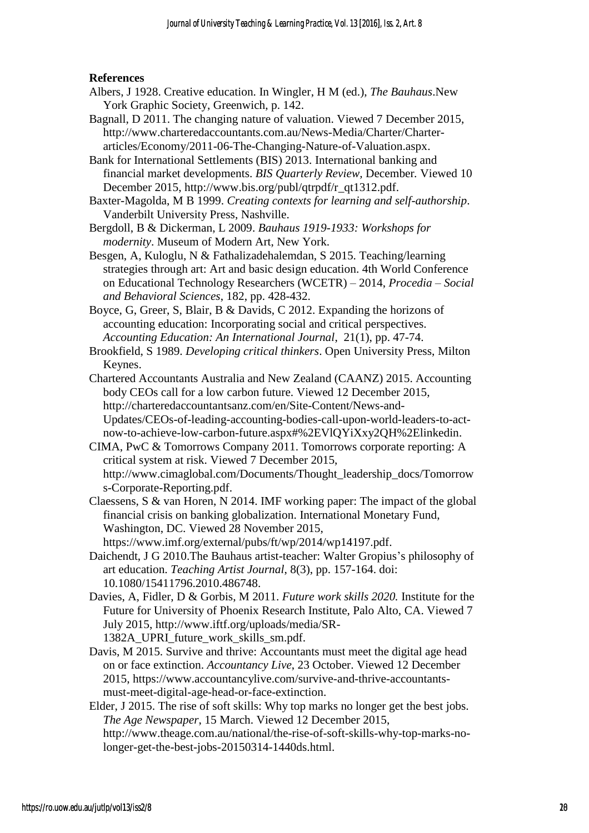#### **References**

- Albers, J 1928. Creative education. In Wingler, H M (ed.), *The Bauhaus*.New York Graphic Society, Greenwich, p. 142.
- Bagnall, D 2011. The changing nature of valuation. Viewed 7 December 2015, [http://www.charteredaccountants.com.au/News-Media/Charter/Charter](http://www.charteredaccountants.com.au/News-Media/Charter/Charter-articles/Economy/2011-06-The-Changing-Nature-of-Valuation.aspx)[articles/Economy/2011-06-The-Changing-Nature-of-Valuation.aspx.](http://www.charteredaccountants.com.au/News-Media/Charter/Charter-articles/Economy/2011-06-The-Changing-Nature-of-Valuation.aspx)
- Bank for International Settlements (BIS) 2013. International banking and financial market developments. *BIS Quarterly Review,* December*.* Viewed 10 December 2015, [http://www.bis.org/publ/qtrpdf/r\\_qt1312.pdf.](http://www.bis.org/publ/qtrpdf/r_qt1312.pdf)
- Baxter-Magolda, M B 1999. *Creating contexts for learning and self-authorship*. Vanderbilt University Press, Nashville.
- Bergdoll, B & Dickerman, L 2009. *Bauhaus 1919-1933: Workshops for modernity*. Museum of Modern Art, New York.
- Besgen, A, Kuloglu, N & Fathalizadehalemdan, S 2015. Teaching/learning strategies through art: Art and basic design education. 4th World Conference on Educational Technology Researchers (WCETR) – 2014, *Procedia – Social and Behavioral Sciences*, 182, pp. 428-432.
- Boyce, G, Greer, S, Blair, B & Davids, C 2012. Expanding the horizons of accounting education: Incorporating social and critical perspectives. *Accounting Education: An International Journal*, 21(1), pp. 47-74.

Brookfield, S 1989. *Developing critical thinkers*. Open University Press, Milton Keynes.

Chartered Accountants Australia and New Zealand (CAANZ) 2015. Accounting body CEOs call for a low carbon future. Viewed 12 December 2015, [http://charteredaccountantsanz.com/en/Site-Content/News-and-](http://charteredaccountantsanz.com/en/Site-Content/News-and-Updates/CEOs-of-leading-accounting-bodies-call-upon-world-leaders-to-act-now-to-achieve-low-carbon-future.aspx#%2EVlQYiXxy2QH%2Elinkedin)[Updates/CEOs-of-leading-accounting-bodies-call-upon-world-leaders-to-act](http://charteredaccountantsanz.com/en/Site-Content/News-and-Updates/CEOs-of-leading-accounting-bodies-call-upon-world-leaders-to-act-now-to-achieve-low-carbon-future.aspx#%2EVlQYiXxy2QH%2Elinkedin)[now-to-achieve-low-carbon-future.aspx#%2EVlQYiXxy2QH%2Elinkedin.](http://charteredaccountantsanz.com/en/Site-Content/News-and-Updates/CEOs-of-leading-accounting-bodies-call-upon-world-leaders-to-act-now-to-achieve-low-carbon-future.aspx#%2EVlQYiXxy2QH%2Elinkedin)

CIMA, PwC & Tomorrows Company 2011. Tomorrows corporate reporting: A critical system at risk. Viewed 7 December 2015, [http://www.cimaglobal.com/Documents/Thought\\_leadership\\_docs/Tomorrow](http://www.cimaglobal.com/Documents/Thought_leadership_docs/Tomorrow) [s-Corporate-Reporting.pdf.](http://www.cimaglobal.com/Documents/Thought_leadership_docs/Tomorrow)

- Claessens, S & van Horen, N 2014. IMF working paper: The impact of the global financial crisis on banking globalization. International Monetary Fund, Washington, DC. Viewed 28 November 2015, [https://www.imf.org/external/pubs/ft/wp/2014/wp14197.pdf.](https://www.imf.org/external/pubs/ft/wp/2014/wp14197.pdf)
- Daichendt, J G 2010.The Bauhaus artist-teacher: Walter Gropius's philosophy of art education. *Teaching Artist Journal*, 8(3), pp. 157-164. doi: 10.1080/15411796.2010.486748.
- Davies, A, Fidler, D & Gorbis, M 2011. *Future work skills 2020.* Institute for the Future for University of Phoenix Research Institute, Palo Alto, CA. Viewed 7 July 2015, [http://www.iftf.org/uploads/media/SR-](http://www.iftf.org/uploads/media/SR-1382A_UPRI_future_work_skills_sm.pdf)[1382A\\_UPRI\\_future\\_work\\_skills\\_sm.pdf.](http://www.iftf.org/uploads/media/SR-1382A_UPRI_future_work_skills_sm.pdf)
- Davis, M 2015. Survive and thrive: Accountants must meet the digital age head on or face extinction. *Accountancy Live*, 23 October. Viewed 12 December 2015, [https://www.accountancylive.com/survive-and-thrive-accountants](https://www.accountancylive.com/survive-and-thrive-accountants-must-meet-digital-age-head-or-face-extinction)[must-meet-digital-age-head-or-face-extinction.](https://www.accountancylive.com/survive-and-thrive-accountants-must-meet-digital-age-head-or-face-extinction)
- Elder, J 2015. The rise of soft skills: Why top marks no longer get the best jobs. *The Age Newspaper*, 15 March. Viewed 12 December 2015, [http://www.theage.com.au/national/the-rise-of-soft-skills-why-top-marks-no](http://www.theage.com.au/national/the-rise-of-soft-skills-why-top-marks-no-longer-get-the-best-jobs-20150314-1440ds.html)[longer-get-the-best-jobs-20150314-1440ds.html.](http://www.theage.com.au/national/the-rise-of-soft-skills-why-top-marks-no-longer-get-the-best-jobs-20150314-1440ds.html)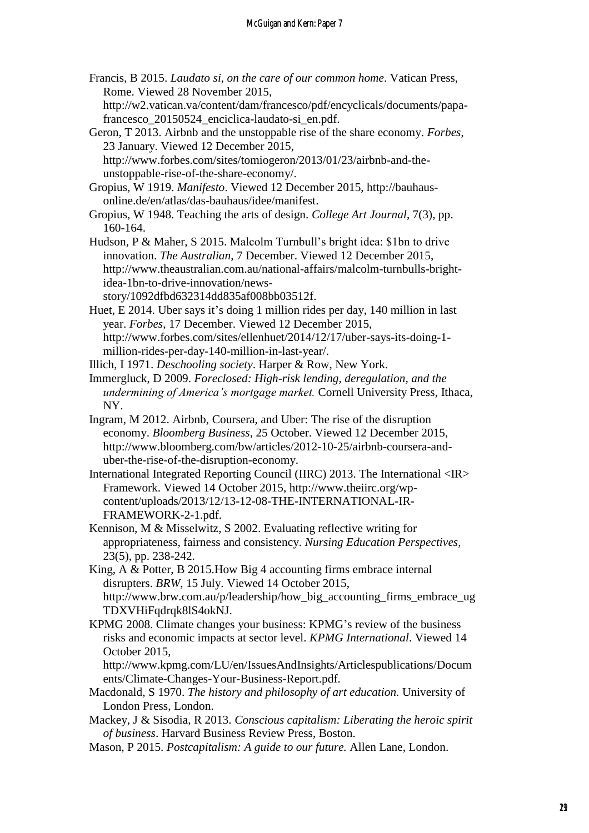Francis, B 2015. *Laudato si, on the care of our common home*. Vatican Press, Rome. Viewed 28 November 2015,

[http://w2.vatican.va/content/dam/francesco/pdf/encyclicals/documents/papa](http://w2.vatican.va/content/dam/francesco/pdf/encyclicals/documents/papa-francesco_20150524_enciclica-laudato-si_en.pdf)[francesco\\_20150524\\_enciclica-laudato-si\\_en.pdf.](http://w2.vatican.va/content/dam/francesco/pdf/encyclicals/documents/papa-francesco_20150524_enciclica-laudato-si_en.pdf)

Geron, T 2013. Airbnb and the unstoppable rise of the share economy. *Forbes*, 23 January. Viewed 12 December 2015, [http://www.forbes.com/sites/tomiogeron/2013/01/23/airbnb-and-the-](http://www.forbes.com/sites/tomiogeron/2013/01/23/airbnb-and-the-unstoppable-rise-of-the-share-economy/)

[unstoppable-rise-of-the-share-economy/.](http://www.forbes.com/sites/tomiogeron/2013/01/23/airbnb-and-the-unstoppable-rise-of-the-share-economy/)

- Gropius, W 1919. *Manifesto*. Viewed 12 December 2015, [http://bauhaus](http://bauhaus-online.de/en/atlas/das-bauhaus/idee/manifest)[online.de/en/atlas/das-bauhaus/idee/manifest.](http://bauhaus-online.de/en/atlas/das-bauhaus/idee/manifest)
- Gropius, W 1948. Teaching the arts of design. *College Art Journal*, 7(3), pp. 160-164.

Hudson, P & Maher, S 2015. Malcolm Turnbull's bright idea: \$1bn to drive innovation. *The Australian*, 7 December. Viewed 12 December 2015, [http://www.theaustralian.com.au/national-affairs/malcolm-turnbulls-bright](http://www.theaustralian.com.au/national-affairs/malcolm-turnbulls-bright-idea-1bn-to-drive-innovation/news-story/1092dfbd632314dd835af008bb03512f)[idea-1bn-to-drive-innovation/news-](http://www.theaustralian.com.au/national-affairs/malcolm-turnbulls-bright-idea-1bn-to-drive-innovation/news-story/1092dfbd632314dd835af008bb03512f)

[story/1092dfbd632314dd835af008bb03512f.](http://www.theaustralian.com.au/national-affairs/malcolm-turnbulls-bright-idea-1bn-to-drive-innovation/news-story/1092dfbd632314dd835af008bb03512f)

- Huet, E 2014. Uber says it's doing 1 million rides per day, 140 million in last year. *Forbes*, 17 December. Viewed 12 December 2015, [http://www.forbes.com/sites/ellenhuet/2014/12/17/uber-says-its-doing-1](http://www.forbes.com/sites/ellenhuet/2014/12/17/uber-says-its-doing-1-million-rides-per-day-140-million-in-last-year/) [million-rides-per-day-140-million-in-last-year/.](http://www.forbes.com/sites/ellenhuet/2014/12/17/uber-says-its-doing-1-million-rides-per-day-140-million-in-last-year/)
- Illich, I 1971. *Deschooling society*. Harper & Row, New York.
- Immergluck, D 2009. *Foreclosed: High-risk lending, deregulation, and the undermining of America's mortgage market.* Cornell University Press, Ithaca, NY.
- Ingram, M 2012. Airbnb, Coursera, and Uber: The rise of the disruption economy. *Bloomberg Business*, 25 October. Viewed 12 December 2015, [http://www.bloomberg.com/bw/articles/2012-10-25/airbnb-coursera-and](http://www.bloomberg.com/bw/articles/2012-10-25/airbnb-coursera-and-uber-the-rise-of-the-disruption-economy)[uber-the-rise-of-the-disruption-economy.](http://www.bloomberg.com/bw/articles/2012-10-25/airbnb-coursera-and-uber-the-rise-of-the-disruption-economy)
- International Integrated Reporting Council (IIRC) 2013. The International <IR> Framework. Viewed 14 October 2015, [http://www.theiirc.org/wp](http://www.theiirc.org/wp-content/uploads/2013/12/13-12-08-THE-INTERNATIONAL-IR-FRAMEWORK-2-1.pdf)[content/uploads/2013/12/13-12-08-THE-INTERNATIONAL-IR-](http://www.theiirc.org/wp-content/uploads/2013/12/13-12-08-THE-INTERNATIONAL-IR-FRAMEWORK-2-1.pdf)[FRAMEWORK-2-1.pdf.](http://www.theiirc.org/wp-content/uploads/2013/12/13-12-08-THE-INTERNATIONAL-IR-FRAMEWORK-2-1.pdf)
- Kennison, M & Misselwitz, S 2002. Evaluating reflective writing for appropriateness, fairness and consistency. *Nursing Education Perspectives*, 23(5), pp. 238-242.
- King, A & Potter, B 2015.How Big 4 accounting firms embrace internal disrupters. *BRW*, 15 July. Viewed 14 October 2015, [http://www.brw.com.au/p/leadership/how\\_big\\_accounting\\_firms\\_embrace\\_ug](http://www.brw.com.au/p/leadership/how_big_accounting_firms_embrace_ugTDXVHiFqdrqk8lS4okNJ) [TDXVHiFqdrqk8lS4okNJ.](http://www.brw.com.au/p/leadership/how_big_accounting_firms_embrace_ugTDXVHiFqdrqk8lS4okNJ)
- KPMG 2008. Climate changes your business: KPMG's review of the business risks and economic impacts at sector level. *KPMG International*. Viewed 14 October 2015,

[http://www.kpmg.com/LU/en/IssuesAndInsights/Articlespublications/Docum](http://www.kpmg.com/LU/en/IssuesAndInsights/Articlespublications/Documents/Climate-Changes-Your-Business-Report.pdf) [ents/Climate-Changes-Your-Business-Report.pdf.](http://www.kpmg.com/LU/en/IssuesAndInsights/Articlespublications/Documents/Climate-Changes-Your-Business-Report.pdf)

- Macdonald, S 1970. *The history and philosophy of art education.* University of London Press, London.
- Mackey, J & Sisodia, R 2013. *Conscious capitalism: Liberating the heroic spirit of business*. Harvard Business Review Press, Boston.
- Mason, P 2015. *Postcapitalism: A guide to our future.* Allen Lane, London.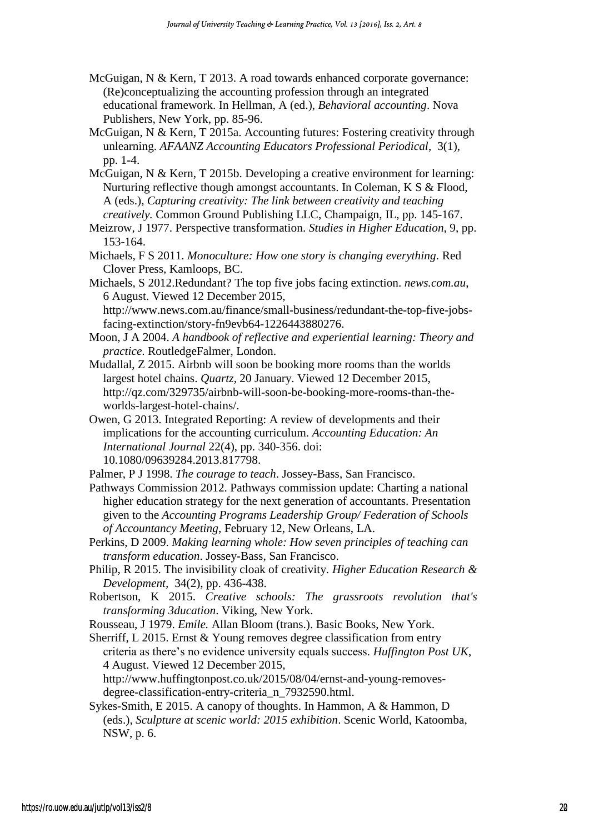- McGuigan, N & Kern, T 2013. A road towards enhanced corporate governance: (Re)conceptualizing the accounting profession through an integrated educational framework. In Hellman, A (ed.), *Behavioral accounting*. Nova Publishers, New York, pp. 85-96.
- McGuigan, N & Kern, T 2015a. Accounting futures: Fostering creativity through unlearning. *AFAANZ Accounting Educators Professional Periodical*, 3(1), pp. 1-4.
- McGuigan, N & Kern, T 2015b. Developing a creative environment for learning: Nurturing reflective though amongst accountants. In Coleman, K S & Flood, A (eds.), *Capturing creativity: The link between creativity and teaching creatively.* Common Ground Publishing LLC, Champaign, IL, pp. 145-167.

Meizrow, J 1977. Perspective transformation. *Studies in Higher Education,* 9, pp. 153-164.

- Michaels, F S 2011. *Monoculture: How one story is changing everything*. Red Clover Press, Kamloops, BC.
- Michaels, S 2012.Redundant? The top five jobs facing extinction. *news.com.au*, 6 August. Viewed 12 December 2015, [http://www.news.com.au/finance/small-business/redundant-the-top-five-jobs-](http://www.news.com.au/finance/small-business/redundant-the-top-five-jobs-facing-extinction/story-fn9evb64-1226443880276)

[facing-extinction/story-fn9evb64-1226443880276.](http://www.news.com.au/finance/small-business/redundant-the-top-five-jobs-facing-extinction/story-fn9evb64-1226443880276)

Moon, J A 2004. *A handbook of reflective and experiential learning: Theory and practice*. RoutledgeFalmer, London.

Mudallal, Z 2015. Airbnb will soon be booking more rooms than the worlds largest hotel chains. *Quartz*, 20 January. Viewed 12 December 2015, [http://qz.com/329735/airbnb-will-soon-be-booking-more-rooms-than-the](http://qz.com/329735/airbnb-will-soon-be-booking-more-rooms-than-the-worlds-largest-hotel-chains/)[worlds-largest-hotel-chains/.](http://qz.com/329735/airbnb-will-soon-be-booking-more-rooms-than-the-worlds-largest-hotel-chains/)

Owen, G 2013. Integrated Reporting: A review of developments and their implications for the accounting curriculum. *Accounting Education: An International Journal* 22(4), pp. 340-356. doi: 10.1080/09639284.2013.817798.

Palmer, P J 1998. *The courage to teach*. Jossey-Bass, San Francisco.

- Pathways Commission 2012. Pathways commission update: Charting a national higher education strategy for the next generation of accountants. Presentation given to the *Accounting Programs Leadership Group/ Federation of Schools of Accountancy Meeting*, February 12, New Orleans, LA.
- Perkins, D 2009. *Making learning whole: How seven principles of teaching can transform education*. Jossey-Bass, San Francisco.
- Philip, R 2015. The invisibility cloak of creativity. *Higher Education Research & Development,* 34(2), pp. 436-438.
- Robertson, K 2015. *Creative schools: The grassroots revolution that's transforming 3ducation*. Viking, New York.

Rousseau, J 1979. *Emile.* Allan Bloom (trans.). Basic Books, New York.

Sherriff, L 2015. Ernst & Young removes degree classification from entry criteria as there's no evidence university equals success. *Huffington Post UK*, 4 August. Viewed 12 December 2015,

[http://www.huffingtonpost.co.uk/2015/08/04/ernst-and-young-removes](http://www.huffingtonpost.co.uk/2015/08/04/ernst-and-young-removes-degree-classification-entry-criteria_n_7932590.html)[degree-classification-entry-criteria\\_n\\_7932590.html.](http://www.huffingtonpost.co.uk/2015/08/04/ernst-and-young-removes-degree-classification-entry-criteria_n_7932590.html)

Sykes-Smith, E 2015. A canopy of thoughts. In Hammon, A & Hammon, D (eds.), *Sculpture at scenic world: 2015 exhibition*. Scenic World, Katoomba, NSW, p. 6.